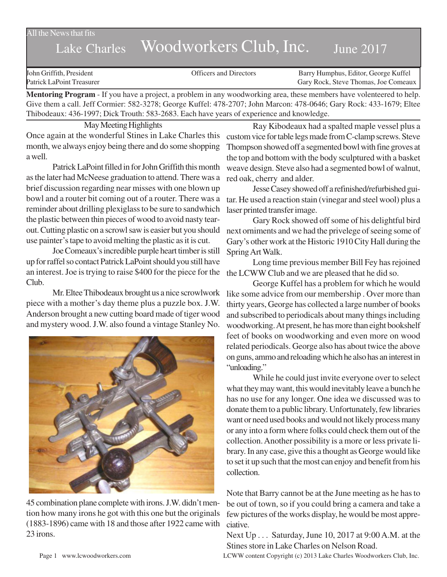All the News that fits

## Lake Charles Woodworkers Club, Inc. June 2017

| John Griffith, President  | Officers and Directors | Barry Humphus, Editor, George Kuffel |
|---------------------------|------------------------|--------------------------------------|
| Patrick LaPoint Treasurer |                        | Gary Rock, Steve Thomas, Joe Comeaux |

**Mentoring Program** - If you have a project, a problem in any woodworking area, these members have volenteered to help. Give them a call. Jeff Cormier: 582-3278; George Kuffel: 478-2707; John Marcon: 478-0646; Gary Rock: 433-1679; Eltee Thibodeaux: 436-1997; Dick Trouth: 583-2683. Each have years of experience and knowledge.

May Meeting Highlights Once again at the wonderful Stines in Lake Charles this month, we always enjoy being there and do some shopping a well.

Patrick LaPoint filled in for John Griffith this month as the later had McNeese graduation to attend. There was a brief discussion regarding near misses with one blown up bowl and a router bit coming out of a router. There was a reminder about drilling plexiglass to be sure to sandwhich the plastic between thin pieces of wood to avoid nasty tearout. Cutting plastic on a scrowl saw is easier but you should use painter's tape to avoid melting the plastic as it is cut.

Joe Comeaux's incredible purple heart timber is still up for raffel so contact Patrick LaPoint should you still have an interest. Joe is trying to raise \$400 for the piece for the Club.

Mr. Eltee Thibodeaux brought us a nice scrowlwork piece with a mother's day theme plus a puzzle box. J.W. Anderson brought a new cutting board made of tiger wood and mystery wood. J.W. also found a vintage Stanley No.



45 combination plane complete with irons. J.W. didn't mention how many irons he got with this one but the originals (1883-1896) came with 18 and those after 1922 came with 23 irons.

Ray Kibodeaux had a spalted maple vessel plus a custom vice for table legs made from C-clamp screws. Steve Thompson showed off a segmented bowl with fine groves at the top and bottom with the body sculptured with a basket weave design. Steve also had a segmented bowl of walnut, red oak, cherry and alder.

Jesse Casey showed off a refinished/refurbished guitar. He used a reaction stain (vinegar and steel wool) plus a laser printed transfer image.

Gary Rock showed off some of his delightful bird next orniments and we had the privelege of seeing some of Gary's other work at the Historic 1910 City Hall during the Spring Art Walk.

Long time previous member Bill Fey has rejoined the LCWW Club and we are pleased that he did so.

George Kuffel has a problem for which he would like some advice from our membership . Over more than thirty years, George has collected a large number of books and subscribed to periodicals about many things including woodworking. At present, he has more than eight bookshelf feet of books on woodworking and even more on wood related periodicals. George also has about twice the above on guns, ammo and reloading which he also has an interest in "unloading."

While he could just invite everyone over to select what they may want, this would inevitably leave a bunch he has no use for any longer. One idea we discussed was to donate them to a public library. Unfortunately, few libraries want or need used books and would not likely process many or any into a form where folks could check them out of the collection. Another possibility is a more or less private library. In any case, give this a thought as George would like to set it up such that the most can enjoy and benefit from his collection.

Note that Barry cannot be at the June meeting as he has to be out of town, so if you could bring a camera and take a few pictures of the works display, he would be most appreciative.

Next Up . . . Saturday, June 10, 2017 at 9:00 A.M. at the Stines store in Lake Charles on Nelson Road.

Page 1 www.lcwoodworkers.com LCWW content Copyright (c) 2013 Lake Charles Woodworkers Club, Inc.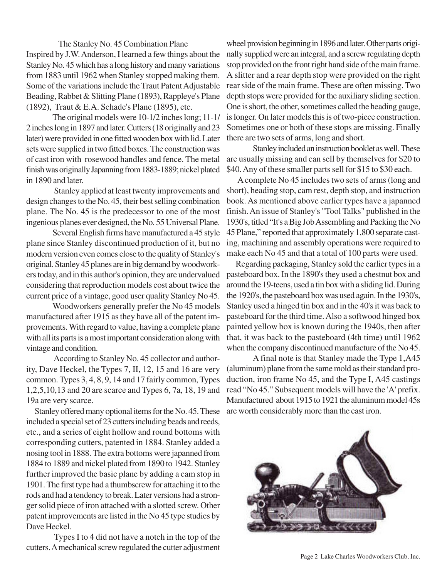The Stanley No. 45 Combination Plane Inspired by J.W. Anderson, I learned a few things about the Stanley No. 45 which has a long history and many variations from 1883 until 1962 when Stanley stopped making them. Some of the variations include the Traut Patent Adjustable Beading, Rabbet & Slitting Plane (1893), Rappleye's Plane (1892), Traut & E.A. Schade's Plane (1895), etc.

The original models were 10-1/2 inches long; 11-1/ 2 inches long in 1897 and later. Cutters (18 originally and 23 later) were provided in one fitted wooden box with lid. Later sets were supplied in two fitted boxes. The construction was of cast iron with rosewood handles and fence. The metal finish was originally Japanning from 1883-1889; nickel plated in 1890 and later.

 Stanley applied at least twenty improvements and design changes to the No. 45, their best selling combination plane. The No. 45 is the predecessor to one of the most ingenious planes ever designed, the No. 55 Universal Plane.

Several English firms have manufactured a 45 style plane since Stanley discontinued production of it, but no modern version even comes close to the quality of Stanley's original. Stanley 45 planes are in big demand by woodworkers today, and in this author's opinion, they are undervalued considering that reproduction models cost about twice the current price of a vintage, good user quality Stanley No 45.

Woodworkers generally prefer the No 45 models manufactured after 1915 as they have all of the patent improvements. With regard to value, having a complete plane with all its parts is a most important consideration along with vintage and condition.

According to Stanley No. 45 collector and authority, Dave Heckel, the Types 7, II, 12, 15 and 16 are very common. Types 3, 4, 8, 9, 14 and 17 fairly common, Types 1,2,5,10,13 and 20 are scarce and Types 6, 7a, 18, 19 and 19a are very scarce.

 Stanley offered many optional items for the No. 45. These included a special set of 23 cutters including beads and reeds, etc., and a series of eight hollow and round bottoms with corresponding cutters, patented in 1884. Stanley added a nosing tool in 1888. The extra bottoms were japanned from 1884 to 1889 and nickel plated from 1890 to 1942. Stanley further improved the basic plane by adding a cam stop in 1901. The first type had a thumbscrew for attaching it to the rods and had a tendency to break. Later versions had a stronger solid piece of iron attached with a slotted screw. Other patent improvements are listed in the No 45 type studies by Dave Heckel.

 Types I to 4 did not have a notch in the top of the cutters. A mechanical screw regulated the cutter adjustment

wheel provision beginning in 1896 and later. Other parts originally supplied were an integral, and a screw regulating depth stop provided on the front right hand side of the main frame. A slitter and a rear depth stop were provided on the right rear side of the main frame. These are often missing. Two depth stops were provided for the auxiliary sliding section. One is short, the other, sometimes called the heading gauge, is longer. On later models this is of two-piece construction. Sometimes one or both of these stops are missing. Finally there are two sets of arms, long and short.

Stanley included an instruction booklet as well. These are usually missing and can sell by themselves for \$20 to \$40. Any of these smaller parts sell for \$15 to \$30 each.

 A complete No 45 includes two sets of arms (long and short), heading stop, cam rest, depth stop, and instruction book. As mentioned above earlier types have a japanned finish. An issue of Stanley's "Tool Talks" published in the 1930's, titled "It's a Big Job Assembling and Packing the No 45 Plane," reported that approximately 1,800 separate casting, machining and assembly operations were required to make each No 45 and that a total of 100 parts were used.

 Regarding packaging, Stanley sold the earlier types in a pasteboard box. In the 1890's they used a chestnut box and around the 19-teens, used a tin box with a sliding lid. During the 1920's, the pasteboard box was used again. In the 1930's, Stanley used a hinged tin box and in the 40's it was back to pasteboard for the third time. Also a softwood hinged box painted yellow box is known during the 1940s, then after that, it was back to the pasteboard (4th time) until 1962 when the company discontinued manufacture of the No 45.

A final note is that Stanley made the Type 1,A45 (aluminum) plane from the same mold as their standard production, iron frame No 45, and the Type I, A45 castings read "No 45." Subsequent models will have the 'A' prefix. Manufactured about 1915 to 1921 the aluminum model 45s are worth considerably more than the cast iron.



Page 2 Lake Charles Woodworkers Club, Inc.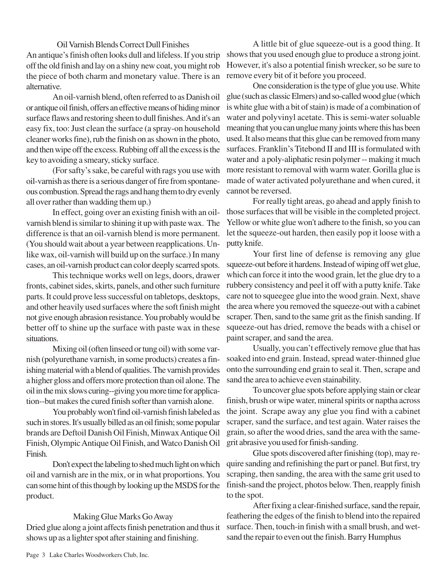Oil Varnish Blends Correct Dull Finishes An antique's finish often looks dull and lifeless. If you strip off the old finish and lay on a shiny new coat, you might rob the piece of both charm and monetary value. There is an alternative.

An oil-varnish blend, often referred to as Danish oil or antique oil finish, offers an effective means of hiding minor surface flaws and restoring sheen to dull finishes. And it's an easy fix, too: Just clean the surface (a spray-on household cleaner works fine), rub the finish on as shown in the photo, and then wipe off the excess. Rubbing off all the excess is the key to avoiding a smeary, sticky surface.

(For safty's sake, be careful with rags you use with oil-varnish as there is a serious danger of fire from spontaneous combustion. Spread the rags and hang them to dry evenly all over rather than wadding them up.)

In effect, going over an existing finish with an oilvarnish blend is similar to shining it up with paste wax. The difference is that an oil-varnish blend is more permanent. (You should wait about a year between reapplications. Unlike wax, oil-varnish will build up on the surface.) In many cases, an oil-varnish product can color deeply scarred spots.

This technique works well on legs, doors, drawer fronts, cabinet sides, skirts, panels, and other such furniture parts. It could prove less successful on tabletops, desktops, and other heavily used surfaces where the soft finish might not give enough abrasion resistance. You probably would be better off to shine up the surface with paste wax in these situations.

Mixing oil (often linseed or tung oil) with some varnish (polyurethane varnish, in some products) creates a finishing material with a blend of qualities. The varnish provides a higher gloss and offers more protection than oil alone. The oil in the mix slows curing--giving you more time for application--but makes the cured finish softer than varnish alone.

You probably won't find oil-varnish finish labeled as such in stores. It's usually billed as an oil finish; some popular brands are Deftoil Danish Oil Finish, Minwax Antique Oil Finish, Olympic Antique Oil Finish, and Watco Danish Oil Finish.

Don't expect the labeling to shed much light on which oil and varnish are in the mix, or in what proportions. You can some hint of this though by looking up the MSDS for the product.

## Making Glue Marks Go Away

Dried glue along a joint affects finish penetration and thus it shows up as a lighter spot after staining and finishing.

A little bit of glue squeeze-out is a good thing. It shows that you used enough glue to produce a strong joint. However, it's also a potential finish wrecker, so be sure to remove every bit of it before you proceed.

One consideration is the type of glue you use. White glue (such as classic Elmers) and so-called wood glue (which is white glue with a bit of stain) is made of a combination of water and polyvinyl acetate. This is semi-water soluable meaning that you can unglue many joints where this has been used. It also means that this glue can be removed from many surfaces. Franklin's Titebond II and III is formulated with water and a poly-aliphatic resin polymer -- making it much more resistant to removal with warm water. Gorilla glue is made of water activated polyurethane and when cured, it cannot be reversed.

For really tight areas, go ahead and apply finish to those surfaces that will be visible in the completed project. Yellow or white glue won't adhere to the finish, so you can let the squeeze-out harden, then easily pop it loose with a putty knife.

Your first line of defense is removing any glue squeeze-out before it hardens. Instead of wiping off wet glue, which can force it into the wood grain, let the glue dry to a rubbery consistency and peel it off with a putty knife. Take care not to squeegee glue into the wood grain. Next, shave the area where you removed the squeeze-out with a cabinet scraper. Then, sand to the same grit as the finish sanding. If squeeze-out has dried, remove the beads with a chisel or paint scraper, and sand the area.

Usually, you can't effectively remove glue that has soaked into end grain. Instead, spread water-thinned glue onto the surrounding end grain to seal it. Then, scrape and sand the area to achieve even stainability.

To uncover glue spots before applying stain or clear finish, brush or wipe water, mineral spirits or naptha across the joint. Scrape away any glue you find with a cabinet scraper, sand the surface, and test again. Water raises the grain, so after the wood dries, sand the area with the samegrit abrasive you used for finish-sanding.

Glue spots discovered after finishing (top), may require sanding and refinishing the part or panel. But first, try scraping, then sanding, the area with the same grit used to finish-sand the project, photos below. Then, reapply finish to the spot.

After fixing a clear-finished surface, sand the repair, feathering the edges of the finish to blend into the repaired surface. Then, touch-in finish with a small brush, and wetsand the repair to even out the finish. Barry Humphus